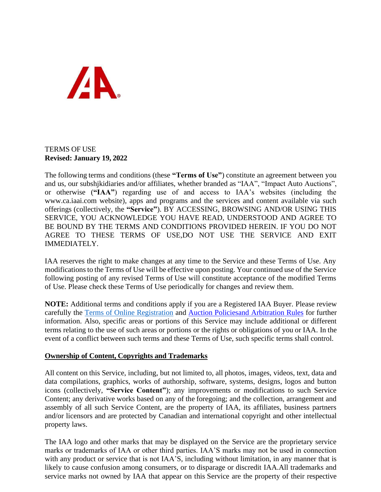

## TERMS OF USE **Revised: January 19, 2022**

The following terms and conditions (these **"Terms of Use"**) constitute an agreement between you and us, our subshjkidiaries and/or affiliates, whether branded as "IAA", "Impact Auto Auctions", or otherwise (**"IAA"**) regarding use of and access to IAA's websites (including the [www.ca.iaai.com](http://www.impactauto.ca/) website), apps and programs and the services and content available via such offerings (collectively, the **"Service"**). BY ACCESSING, BROWSING AND/OR USING THIS SERVICE, YOU ACKNOWLEDGE YOU HAVE READ, UNDERSTOOD AND AGREE TO BE BOUND BY THE TERMS AND CONDITIONS PROVIDED HEREIN. IF YOU DO NOT AGREE TO THESE TERMS OF USE,DO NOT USE THE SERVICE AND EXIT IMMEDIATELY.

IAA reserves the right to make changes at any time to the Service and these Terms of Use. Any modifications to the Terms of Use will be effective upon posting. Your continued use of the Service following posting of any revised Terms of Use will constitute acceptance of the modified Terms of Use. Please check these Terms of Use periodically for changes and review them.

**NOTE:** Additional terms and conditions apply if you are a Registered IAA Buyer. Please review carefully the [Terms of Online Registration](https://www.impactauto.ca/Content/Documents/IAATermsOfOnlineRegistration_en.pdf) and [Auction Policiesand Arbitration Rules](https://www.impactauto.ca/Support/AuctionRules) for further information. Also, specific areas or portions of this Service may include additional or different terms relating to the use of such areas or portions or the rights or obligations of you or IAA. In the event of a conflict between such terms and these Terms of Use, such specific terms shall control.

## **Ownership of Content, Copyrights and Trademarks**

All content on this Service, including, but not limited to, all photos, images, videos, text, data and data compilations, graphics, works of authorship, software, systems, designs, logos and button icons (collectively, **"Service Content"**); any improvements or modifications to such Service Content; any derivative works based on any of the foregoing; and the collection, arrangement and assembly of all such Service Content, are the property of IAA, its affiliates, business partners and/or licensors and are protected by Canadian and international copyright and other intellectual property laws.

The IAA logo and other marks that may be displayed on the Service are the proprietary service marks or trademarks of IAA or other third parties. IAA'S marks may not be used in connection with any product or service that is not IAA'S, including without limitation, in any manner that is likely to cause confusion among consumers, or to disparage or discredit IAA.All trademarks and service marks not owned by IAA that appear on this Service are the property of their respective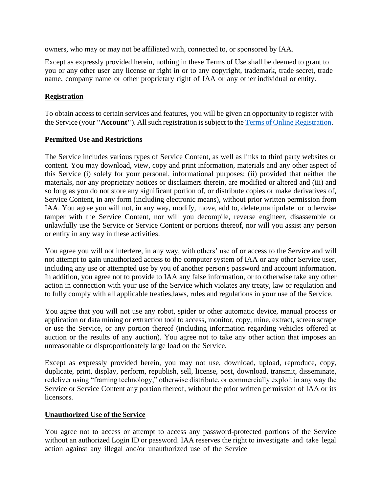owners, who may or may not be affiliated with, connected to, or sponsored by IAA.

Except as expressly provided herein, nothing in these Terms of Use shall be deemed to grant to you or any other user any license or right in or to any copyright, trademark, trade secret, trade name, company name or other proprietary right of IAA or any other individual or entity.

### **Registration**

To obtain access to certain services and features, you will be given an opportunity to register with the Service (your "Account"). All such registration is subject to the Terms of Online [Registration.](https://www.impactauto.ca/Content/Documents/IAATermsOfOnlineRegistration_en.pdf)

### **Permitted Use and Restrictions**

The Service includes various types of Service Content, as well as links to third party websites or content. You may download, view, copy and print information, materials and any other aspect of this Service (i) solely for your personal, informational purposes; (ii) provided that neither the materials, nor any proprietary notices or disclaimers therein, are modified or altered and (iii) and so long as you do not store any significant portion of, or distribute copies or make derivatives of, Service Content, in any form (including electronic means), without prior written permission from IAA. You agree you will not, in any way, modify, move, add to, delete,manipulate or otherwise tamper with the Service Content, nor will you decompile, reverse engineer, disassemble or unlawfully use the Service or Service Content or portions thereof, nor will you assist any person or entity in any way in these activities.

You agree you will not interfere, in any way, with others' use of or access to the Service and will not attempt to gain unauthorized access to the computer system of IAA or any other Service user, including any use or attempted use by you of another person's password and account information. In addition, you agree not to provide to IAA any false information, or to otherwise take any other action in connection with your use of the Service which violates any treaty, law or regulation and to fully comply with all applicable treaties,laws, rules and regulations in your use of the Service.

You agree that you will not use any robot, spider or other automatic device, manual process or application or data mining or extraction tool to access, monitor, copy, mine, extract, screen scrape or use the Service, or any portion thereof (including information regarding vehicles offered at auction or the results of any auction). You agree not to take any other action that imposes an unreasonable or disproportionately large load on the Service.

Except as expressly provided herein, you may not use, download, upload, reproduce, copy, duplicate, print, display, perform, republish, sell, license, post, download, transmit, disseminate, redeliver using "framing technology," otherwise distribute, or commercially exploit in any way the Service or Service Content any portion thereof, without the prior written permission of IAA or its licensors.

## **Unauthorized Use of the Service**

You agree not to access or attempt to access any password-protected portions of the Service without an authorized Login ID or password. IAA reserves the right to investigate and take legal action against any illegal and/or unauthorized use of the Service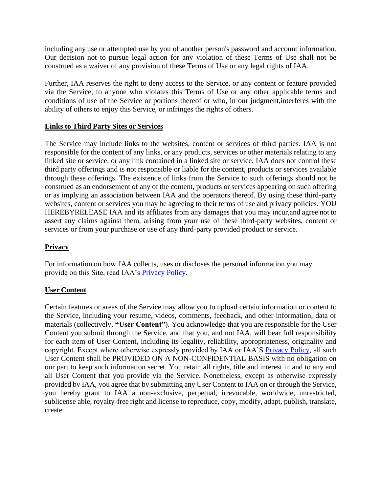including any use or attempted use by you of another person's password and account information. Our decision not to pursue legal action for any violation of these Terms of Use shall not be construed as a waiver of any provision of these Terms of Use or any legal rights of IAA.

Further, IAA reserves the right to deny access to the Service, or any content or feature provided via the Service, to anyone who violates this Terms of Use or any other applicable terms and conditions of use of the Service or portions thereof or who, in our judgment,interferes with the ability of others to enjoy this Service, or infringes the rights of others.

## **Links to Third Party Sites or Services**

The Service may include links to the websites, content or services of third parties. IAA is not responsible for the content of any links, or any products, services or other materials relating to any linked site or service, or any link contained in a linked site or service. IAA does not control these third party offerings and is not responsible or liable for the content, products or services available through these offerings. The existence of links from the Service to such offerings should not be construed as an endorsement of any of the content, products or services appearing on such offering or as implying an association between IAA and the operators thereof. By using these third-party websites, content or services you may be agreeing to their terms of use and privacy policies. YOU HEREBYRELEASE IAA and its affiliates from any damages that you may incur,and agree not to assert any claims against them, arising from your use of these third-party websites, content or services or from your purchase or use of any third-party provided product or service.

## **Privacy**

For information on how IAA collects, uses or discloses the personal information you may provide on this Site, read IAA's [Privacy Policy.](https://www.impactauto.ca/Support/PrivacyPolicy)

## **User Content**

Certain features or areas of the Service may allow you to upload certain information or content to the Service, including your resume, videos, comments, feedback, and other information, data or materials (collectively, **"User Content"**). You acknowledge that you are responsible for the User Content you submit through the Service, and that you, and not IAA, will bear full responsibility for each item of User Content, including its legality, reliability, appropriateness, originality and copyright. Except where otherwise expressly provided by IAA or IAA'S Privacy [Policy, a](https://www.impactauto.ca/Support/PrivacyPolicy)ll such User Content shall be PROVIDED ON A NON-CONFIDENTIAL BASIS with no obligation on our part to keep such information secret. You retain all rights, title and interest in and to any and all User Content that you provide via the Service. Nonetheless, except as otherwise expressly provided by IAA, you agree that by submitting any User Content to IAA on or through the Service, you hereby grant to IAA a non-exclusive, perpetual, irrevocable, worldwide, unrestricted, sublicense able, royalty-free right and license to reproduce, copy, modify, adapt, publish, translate, create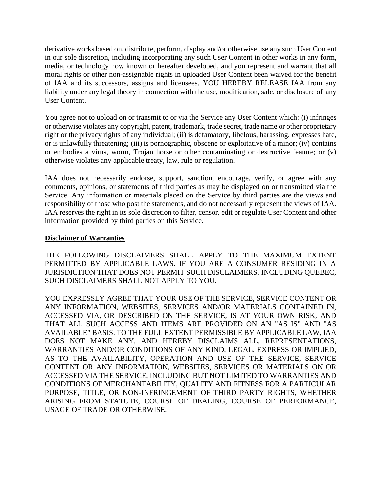derivative works based on, distribute, perform, display and/or otherwise use any such User Content in our sole discretion, including incorporating any such User Content in other works in any form, media, or technology now known or hereafter developed, and you represent and warrant that all moral rights or other non-assignable rights in uploaded User Content been waived for the benefit of IAA and its successors, assigns and licensees. YOU HEREBY RELEASE IAA from any liability under any legal theory in connection with the use, modification, sale, or disclosure of any User Content.

You agree not to upload on or transmit to or via the Service any User Content which: (i) infringes or otherwise violates any copyright, patent, trademark, trade secret, trade name or other proprietary right or the privacy rights of any individual; (ii) is defamatory, libelous, harassing, expresses hate, or is unlawfully threatening; (iii) is pornographic, obscene or exploitative of a minor; (iv) contains or embodies a virus, worm, Trojan horse or other contaminating or destructive feature; or (v) otherwise violates any applicable treaty, law, rule or regulation.

IAA does not necessarily endorse, support, sanction, encourage, verify, or agree with any comments, opinions, or statements of third parties as may be displayed on or transmitted via the Service. Any information or materials placed on the Service by third parties are the views and responsibility of those who post the statements, and do not necessarily represent the views of IAA. IAA reserves the right in its sole discretion to filter, censor, edit or regulate User Content and other information provided by third parties on this Service.

### **Disclaimer of Warranties**

THE FOLLOWING DISCLAIMERS SHALL APPLY TO THE MAXIMUM EXTENT PERMITTED BY APPLICABLE LAWS. IF YOU ARE A CONSUMER RESIDING IN A JURISDICTION THAT DOES NOT PERMIT SUCH DISCLAIMERS, INCLUDING QUEBEC, SUCH DISCLAIMERS SHALL NOT APPLY TO YOU.

YOU EXPRESSLY AGREE THAT YOUR USE OF THE SERVICE, SERVICE CONTENT OR ANY INFORMATION, WEBSITES, SERVICES AND/OR MATERIALS CONTAINED IN, ACCESSED VIA, OR DESCRIBED ON THE SERVICE, IS AT YOUR OWN RISK, AND THAT ALL SUCH ACCESS AND ITEMS ARE PROVIDED ON AN "AS IS" AND "AS AVAILABLE" BASIS. TO THE FULL EXTENT PERMISSIBLE BY APPLICABLE LAW, IAA DOES NOT MAKE ANY, AND HEREBY DISCLAIMS ALL, REPRESENTATIONS, WARRANTIES AND/OR CONDITIONS OF ANY KIND, LEGAL, EXPRESS OR IMPLIED, AS TO THE AVAILABILITY, OPERATION AND USE OF THE SERVICE, SERVICE CONTENT OR ANY INFORMATION, WEBSITES, SERVICES OR MATERIALS ON OR ACCESSED VIA THE SERVICE, INCLUDING BUT NOT LIMITED TO WARRANTIES AND CONDITIONS OF MERCHANTABILITY, QUALITY AND FITNESS FOR A PARTICULAR PURPOSE, TITLE, OR NON-INFRINGEMENT OF THIRD PARTY RIGHTS, WHETHER ARISING FROM STATUTE, COURSE OF DEALING, COURSE OF PERFORMANCE, USAGE OF TRADE OR OTHERWISE.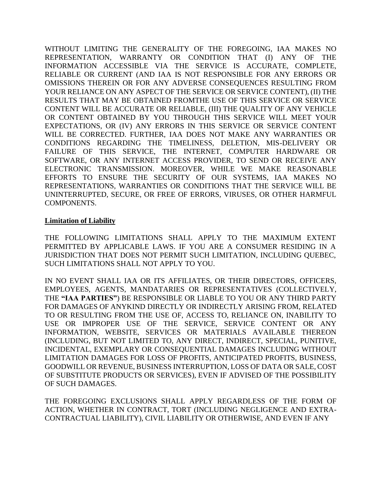WITHOUT LIMITING THE GENERALITY OF THE FOREGOING, IAA MAKES NO REPRESENTATION, WARRANTY OR CONDITION THAT (I) ANY OF THE INFORMATION ACCESSIBLE VIA THE SERVICE IS ACCURATE, COMPLETE, RELIABLE OR CURRENT (AND IAA IS NOT RESPONSIBLE FOR ANY ERRORS OR OMISSIONS THEREIN OR FOR ANY ADVERSE CONSEQUENCES RESULTING FROM YOUR RELIANCE ON ANY ASPECT OF THE SERVICE OR SERVICE CONTENT), (II) THE RESULTS THAT MAY BE OBTAINED FROMTHE USE OF THIS SERVICE OR SERVICE CONTENT WILL BE ACCURATE OR RELIABLE, (III) THE QUALITY OF ANY VEHICLE OR CONTENT OBTAINED BY YOU THROUGH THIS SERVICE WILL MEET YOUR EXPECTATIONS, OR (IV) ANY ERRORS IN THIS SERVICE OR SERVICE CONTENT WILL BE CORRECTED. FURTHER, IAA DOES NOT MAKE ANY WARRANTIES OR CONDITIONS REGARDING THE TIMELINESS, DELETION, MIS-DELIVERY OR FAILURE OF THIS SERVICE, THE INTERNET, COMPUTER HARDWARE OR SOFTWARE, OR ANY INTERNET ACCESS PROVIDER, TO SEND OR RECEIVE ANY ELECTRONIC TRANSMISSION. MOREOVER, WHILE WE MAKE REASONABLE EFFORTS TO ENSURE THE SECURITY OF OUR SYSTEMS, IAA MAKES NO REPRESENTATIONS, WARRANTIES OR CONDITIONS THAT THE SERVICE WILL BE UNINTERRUPTED, SECURE, OR FREE OF ERRORS, VIRUSES, OR OTHER HARMFUL COMPONENTS.

#### **Limitation of Liability**

THE FOLLOWING LIMITATIONS SHALL APPLY TO THE MAXIMUM EXTENT PERMITTED BY APPLICABLE LAWS. IF YOU ARE A CONSUMER RESIDING IN A JURISDICTION THAT DOES NOT PERMIT SUCH LIMITATION, INCLUDING QUEBEC, SUCH LIMITATIONS SHALL NOT APPLY TO YOU.

IN NO EVENT SHALL IAA OR ITS AFFILIATES, OR THEIR DIRECTORS, OFFICERS, EMPLOYEES, AGENTS, MANDATARIES OR REPRESENTATIVES (COLLECTIVELY, THE **"IAA PARTIES"**) BE RESPONSIBLE OR LIABLE TO YOU OR ANY THIRD PARTY FOR DAMAGES OF ANYKIND DIRECTLY OR INDIRECTLY ARISING FROM, RELATED TO OR RESULTING FROM THE USE OF, ACCESS TO, RELIANCE ON, INABILITY TO USE OR IMPROPER USE OF THE SERVICE, SERVICE CONTENT OR ANY INFORMATION, WEBSITE, SERVICES OR MATERIALS AVAILABLE THEREON (INCLUDING, BUT NOT LIMITED TO, ANY DIRECT, INDIRECT, SPECIAL, PUNITIVE, INCIDENTAL, EXEMPLARY OR CONSEQUENTIAL DAMAGES INCLUDING WITHOUT LIMITATION DAMAGES FOR LOSS OF PROFITS, ANTICIPATED PROFITS, BUSINESS, GOODWILL OR REVENUE, BUSINESS INTERRUPTION, LOSS OF DATA OR SALE, COST OF SUBSTITUTE PRODUCTS OR SERVICES), EVEN IF ADVISED OF THE POSSIBILITY OF SUCH DAMAGES.

THE FOREGOING EXCLUSIONS SHALL APPLY REGARDLESS OF THE FORM OF ACTION, WHETHER IN CONTRACT, TORT (INCLUDING NEGLIGENCE AND EXTRA-CONTRACTUAL LIABILITY), CIVIL LIABILITY OR OTHERWISE, AND EVEN IF ANY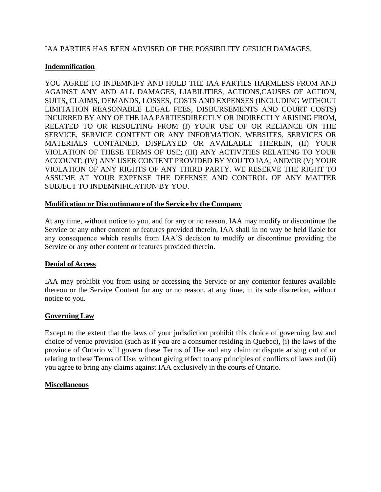## IAA PARTIES HAS BEEN ADVISED OF THE POSSIBILITY OFSUCH DAMAGES.

## **Indemnification**

YOU AGREE TO INDEMNIFY AND HOLD THE IAA PARTIES HARMLESS FROM AND AGAINST ANY AND ALL DAMAGES, LIABILITIES, ACTIONS,CAUSES OF ACTION, SUITS, CLAIMS, DEMANDS, LOSSES, COSTS AND EXPENSES (INCLUDING WITHOUT LIMITATION REASONABLE LEGAL FEES, DISBURSEMENTS AND COURT COSTS) INCURRED BY ANY OF THE IAA PARTIESDIRECTLY OR INDIRECTLY ARISING FROM, RELATED TO OR RESULTING FROM (I) YOUR USE OF OR RELIANCE ON THE SERVICE, SERVICE CONTENT OR ANY INFORMATION, WEBSITES, SERVICES OR MATERIALS CONTAINED, DISPLAYED OR AVAILABLE THEREIN, (II) YOUR VIOLATION OF THESE TERMS OF USE; (III) ANY ACTIVITIES RELATING TO YOUR ACCOUNT; (IV) ANY USER CONTENT PROVIDED BY YOU TO IAA; AND/OR (V) YOUR VIOLATION OF ANY RIGHTS OF ANY THIRD PARTY. WE RESERVE THE RIGHT TO ASSUME AT YOUR EXPENSE THE DEFENSE AND CONTROL OF ANY MATTER SUBJECT TO INDEMNIFICATION BY YOU.

### **Modification or Discontinuance of the Service by the Company**

At any time, without notice to you, and for any or no reason, IAA may modify or discontinue the Service or any other content or features provided therein. IAA shall in no way be held liable for any consequence which results from IAA'S decision to modify or discontinue providing the Service or any other content or features provided therein.

## **Denial of Access**

IAA may prohibit you from using or accessing the Service or any contentor features available thereon or the Service Content for any or no reason, at any time, in its sole discretion, without notice to you.

## **Governing Law**

Except to the extent that the laws of your jurisdiction prohibit this choice of governing law and choice of venue provision (such as if you are a consumer residing in Quebec), (i) the laws of the province of Ontario will govern these Terms of Use and any claim or dispute arising out of or relating to these Terms of Use, without giving effect to any principles of conflicts of laws and (ii) you agree to bring any claims against IAA exclusively in the courts of Ontario.

#### **Miscellaneous**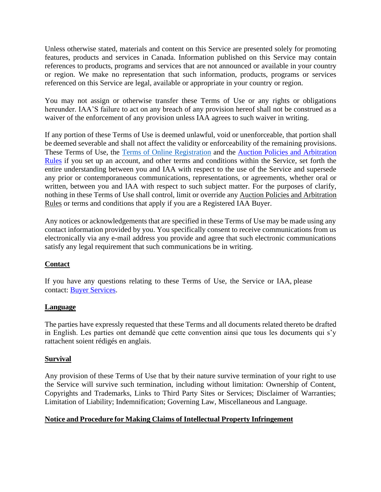Unless otherwise stated, materials and content on this Service are presented solely for promoting features, products and services in Canada. Information published on this Service may contain references to products, programs and services that are not announced or available in your country or region. We make no representation that such information, products, programs or services referenced on this Service are legal, available or appropriate in your country or region.

You may not assign or otherwise transfer these Terms of Use or any rights or obligations hereunder. IAA'S failure to act on any breach of any provision hereof shall not be construed as a waiver of the enforcement of any provision unless IAA agrees to such waiver in writing.

If any portion of these Terms of Use is deemed unlawful, void or unenforceable, that portion shall be deemed severable and shall not affect the validity or enforceability of the remaining provisions. These Terms of Use, the [Terms of Online Registration](https://www.impactauto.ca/Content/Documents/IAATermsOfOnlineRegistration_en.pdf) and the [Auction Policies and Arbitration](https://www.impactauto.ca/Support/AuctionRules) [Rules](https://www.impactauto.ca/Support/AuctionRules) if you set up an account, and other terms and conditions within the Service, set forth the entire understanding between you and IAA with respect to the use of the Service and supersede any prior or contemporaneous communications, representations, or agreements, whether oral or written, between you and IAA with respect to such subject matter. For the purposes of clarify, nothing in these Terms of Use shall control, limit or override any Auction Policies and Arbitration Rules or terms and conditions that apply if you are a Registered IAA Buyer.

Any notices or acknowledgements that are specified in these Terms of Use may be made using any contact information provided by you. You specifically consent to receive communications from us electronically via any e-mail address you provide and agree that such electronic communications satisfy any legal requirement that such communications be in writing.

# **Contact**

If you have any questions relating to these Terms of Use, the Service or IAA, please contact: [Buyer Services.](https://www.impactauto.ca/Services/Buyers)

## **Language**

The parties have expressly requested that these Terms and all documents related thereto be drafted in English. Les parties ont demandé que cette convention ainsi que tous les documents qui s'y rattachent soient rédigés en anglais.

## **Survival**

Any provision of these Terms of Use that by their nature survive termination of your right to use the Service will survive such termination, including without limitation: Ownership of Content, Copyrights and Trademarks, Links to Third Party Sites or Services; Disclaimer of Warranties; Limitation of Liability; Indemnification; Governing Law, Miscellaneous and Language.

## **Notice and Procedure for Making Claims of Intellectual Property Infringement**